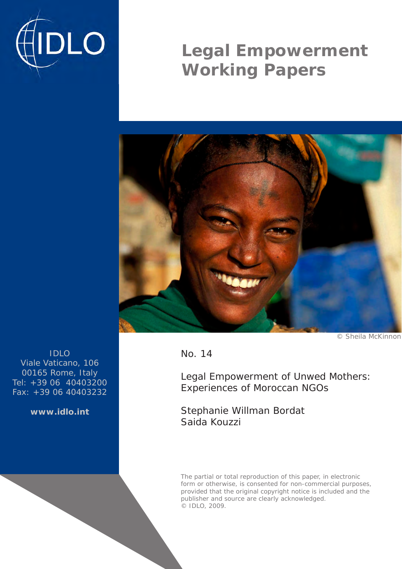

# **Legal Empowerment Working Papers**



© Sheila McKinnon

IDLO Viale Vaticano, 106 00165 Rome, Italy Tel: +39 06 40403200 Fax: +39 06 40403232

**www.idlo.int**

No. 14

Legal Empowerment of Unwed Mothers: Experiences of Moroccan NGOs

Stephanie Willman Bordat Saida Kouzzi

The partial or total reproduction of this paper, in electronic form or otherwise, is consented for non-commercial purposes, provided that the original copyright notice is included and the publisher and source are clearly acknowledged. © IDLO, 2009.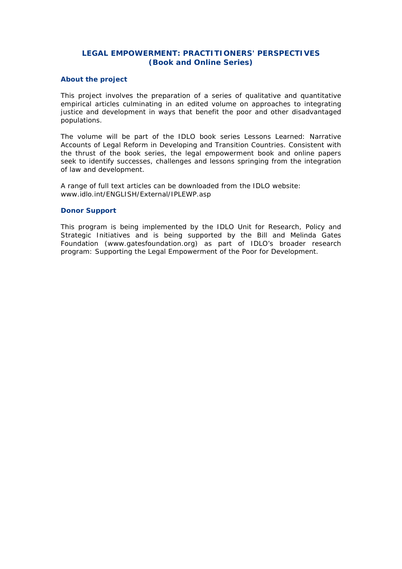# **LEGAL EMPOWERMENT: PRACTITIONERS' PERSPECTIVES (Book and Online Series)**

#### **About the project**

This project involves the preparation of a series of qualitative and quantitative empirical articles culminating in an edited volume on approaches to integrating justice and development in ways that benefit the poor and other disadvantaged populations.

The volume will be part of the IDLO book series *Lessons Learned: Narrative Accounts of Legal Reform in Developing and Transition Countries*. Consistent with the thrust of the book series, the legal empowerment book and online papers seek to identify successes, challenges and lessons springing from the integration of law and development.

A range of full text articles can be downloaded from the IDLO website: www.idlo.int/ENGLISH/External/IPLEWP.asp

#### **Donor Support**

This program is being implemented by the IDLO Unit for Research, Policy and Strategic Initiatives and is being supported by the Bill and Melinda Gates Foundation (www.gatesfoundation.org) as part of IDLO's broader research program: *Supporting the Legal Empowerment of the Poor for Development*.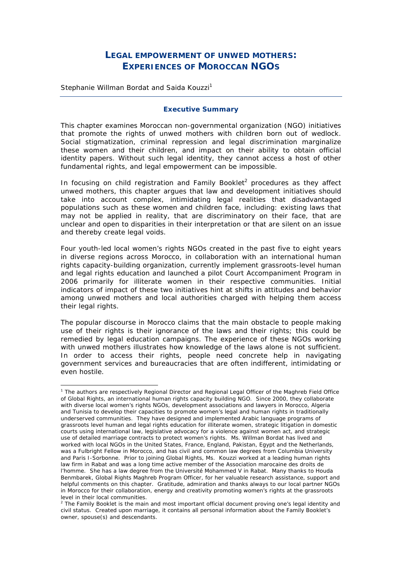# **LEGAL EMPOWERMENT OF UNWED MOTHERS: EXPERIENCES OF MOROCCAN NGOS**

Stephanie Willman Bordat and Saida Kouzzi<sup>1</sup>

#### **Executive Summary**

This chapter examines Moroccan non-governmental organization (NGO) initiatives that promote the rights of unwed mothers with children born out of wedlock. Social stigmatization, criminal repression and legal discrimination marginalize these women and their children, and impact on their ability to obtain official identity papers. Without such legal identity, they cannot access a host of other fundamental rights, and legal empowerment can be impossible.

In focusing on child registration and Family Booklet<sup>2</sup> procedures as they affect unwed mothers, this chapter argues that law and development initiatives should take into account complex, intimidating legal realities that disadvantaged populations such as these women and children face, including: existing laws that may not be applied in reality, that are discriminatory on their face, that are unclear and open to disparities in their interpretation or that are silent on an issue and thereby create legal voids.

Four youth-led local women's rights NGOs created in the past five to eight years in diverse regions across Morocco, in collaboration with an international human rights capacity-building organization, currently implement grassroots-level human and legal rights education and launched a pilot Court Accompaniment Program in 2006 primarily for illiterate women in their respective communities. Initial indicators of impact of these two initiatives hint at shifts in attitudes and behavior among unwed mothers and local authorities charged with helping them access their legal rights.

The popular discourse in Morocco claims that the main obstacle to people making use of their rights is their ignorance of the laws and their rights; this could be remedied by legal education campaigns. The experience of these NGOs working with unwed mothers illustrates how knowledge of the laws alone is not sufficient. In order to access their rights, people need concrete help in navigating government services and bureaucracies that are often indifferent, intimidating or even hostile.

<sup>&</sup>lt;sup>1</sup> The authors are respectively Regional Director and Regional Legal Officer of the Maghreb Field Office of Global Rights, an international human rights capacity building NGO. Since 2000, they collaborate with diverse local women's rights NGOs, development associations and lawyers in Morocco, Algeria and Tunisia to develop their capacities to promote women's legal and human rights in traditionally underserved communities. They have designed and implemented Arabic language programs of grassroots level human and legal rights education for illiterate women, strategic litigation in domestic courts using international law, legislative advocacy for a violence against women act, and strategic use of detailed marriage contracts to protect women's rights. Ms. Willman Bordat has lived and worked with local NGOs in the United States, France, England, Pakistan, Egypt and the Netherlands, was a Fulbright Fellow in Morocco, and has civil and common law degrees from Columbia University and Paris I-Sorbonne. Prior to joining Global Rights, Ms. Kouzzi worked at a leading human rights law firm in Rabat and was a long time active member of the *Association marocaine des droits de l'homme*. She has a law degree from the *Université Mohammed V* in Rabat. Many thanks to Houda Benmbarek, Global Rights Maghreb Program Officer, for her valuable research assistance, support and helpful comments on this chapter. Gratitude, admiration and thanks always to our local partner NGOs in Morocco for their collaboration, energy and creativity promoting women's rights at the grassroots level in their local communities.

<sup>&</sup>lt;sup>2</sup> The Family Booklet is the main and most important official document proving one's legal identity and civil status. Created upon marriage, it contains all personal information about the Family Booklet's owner, spouse(s) and descendants.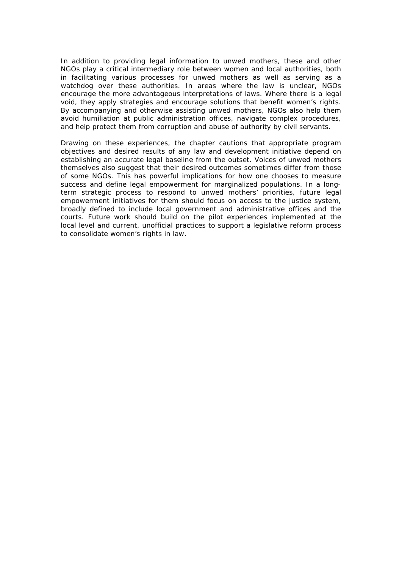In addition to providing legal information to unwed mothers, these and other NGOs play a critical intermediary role between women and local authorities, both in facilitating various processes for unwed mothers as well as serving as a watchdog over these authorities. In areas where the law is unclear, NGOs encourage the more advantageous interpretations of laws. Where there is a legal void, they apply strategies and encourage solutions that benefit women's rights. By accompanying and otherwise assisting unwed mothers, NGOs also help them avoid humiliation at public administration offices, navigate complex procedures, and help protect them from corruption and abuse of authority by civil servants.

Drawing on these experiences, the chapter cautions that appropriate program objectives and desired results of any law and development initiative depend on establishing an accurate legal baseline from the outset. Voices of unwed mothers themselves also suggest that their desired outcomes sometimes differ from those of some NGOs. This has powerful implications for how one chooses to measure success and define legal empowerment for marginalized populations. In a longterm strategic process to respond to unwed mothers' priorities, future legal empowerment initiatives for them should focus on access to the justice system, broadly defined to include local government and administrative offices and the courts. Future work should build on the pilot experiences implemented at the local level and current, unofficial practices to support a legislative reform process to consolidate women's rights in law.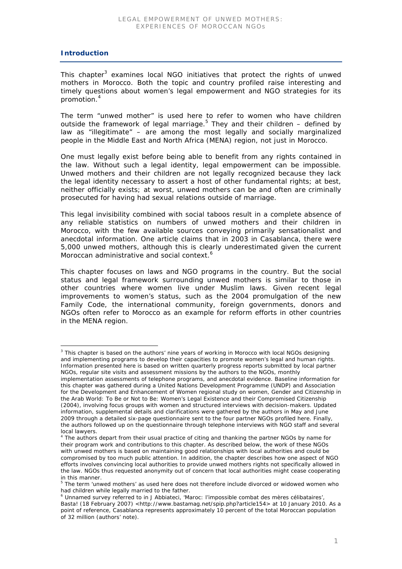# **Introduction**

This chapter<sup>3</sup> examines local NGO initiatives that protect the rights of unwed mothers in Morocco. Both the topic and country profiled raise interesting and timely questions about women's legal empowerment and NGO strategies for its promotion.<sup>4</sup>

The term "unwed mother" is used here to refer to women who have children outside the framework of legal marriage.<sup>5</sup> They and their children  $-$  defined by law as "illegitimate" – are among the most legally and socially marginalized people in the Middle East and North Africa (MENA) region, not just in Morocco.

One must legally exist before being able to benefit from any rights contained in the law. Without such a legal identity, legal empowerment can be impossible. Unwed mothers and their children are not legally recognized because they lack the legal identity necessary to assert a host of other fundamental rights; at best, neither officially exists; at worst, unwed mothers can be and often are criminally prosecuted for having had sexual relations outside of marriage.

This legal invisibility combined with social taboos result in a complete absence of any reliable statistics on numbers of unwed mothers and their children in Morocco, with the few available sources conveying primarily sensationalist and anecdotal information. One article claims that in 2003 in Casablanca, there were 5,000 unwed mothers, although this is clearly underestimated given the current Moroccan administrative and social context.<sup>6</sup>

This chapter focuses on laws and NGO programs in the country. But the social status and legal framework surrounding unwed mothers is similar to those in other countries where women live under Muslim laws. Given recent legal improvements to women's status, such as the 2004 promulgation of the new Family Code, the international community, foreign governments, donors and NGOs often refer to Morocco as an example for reform efforts in other countries in the MENA region.

<sup>3</sup> This chapter is based on the authors' nine years of working in Morocco with local NGOs designing and implementing programs to develop their capacities to promote women's legal and human rights. Information presented here is based on written quarterly progress reports submitted by local partner NGOs, regular site visits and assessment missions by the authors to the NGOs, monthly implementation assessments of telephone programs, and anecdotal evidence. Baseline information for this chapter was gathered during a United Nations Development Programme (UNDP) and Association for the Development and Enhancement of Women regional study on women, *Gender and Citizenship in the Arab World: To Be or Not to Be: Women's Legal Existence and their Compromised Citizenship*  (2004)*,* involving focus groups with women and structured interviews with decision-makers. Updated information, supplemental details and clarifications were gathered by the authors in May and June 2009 through a detailed six-page questionnaire sent to the four partner NGOs profiled here. Finally, the authors followed up on the questionnaire through telephone interviews with NGO staff and several local lawyers.

<sup>&</sup>lt;sup>4</sup> The authors depart from their usual practice of citing and thanking the partner NGOs by name for their program work and contributions to this chapter. As described below, the work of these NGOs with unwed mothers is based on maintaining good relationships with local authorities and could be compromised by too much public attention. In addition, the chapter describes how one aspect of NGO efforts involves convincing local authorities to provide unwed mothers rights not specifically allowed in the law. NGOs thus requested anonymity out of concern that local authorities might cease cooperating in this manner.

<sup>&</sup>lt;sup>5</sup> The term 'unwed mothers' as used here does not therefore include divorced or widowed women who had children while legally married to the father.

<sup>6</sup> Unnamed survey referred to in J Abbiateci, 'Maroc: l'impossible combat des mères célibataires', Basta! (18 February 2007) <http://www.bastamag.net/spip.php?article154> at 10 January 2010. As a point of reference, Casablanca represents approximately 10 percent of the total Moroccan population of 32 million (authors' note).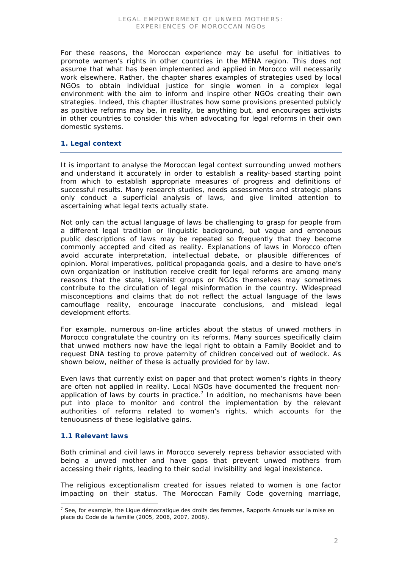For these reasons, the Moroccan experience may be useful for initiatives to promote women's rights in other countries in the MENA region. This does not assume that what has been implemented and applied in Morocco will necessarily work elsewhere. Rather, the chapter shares examples of strategies used by local NGOs to obtain individual justice for single women in a complex legal environment with the aim to inform and inspire other NGOs creating their own strategies. Indeed, this chapter illustrates how some provisions presented publicly as positive reforms may be, in reality, be anything but, and encourages activists in other countries to consider this when advocating for legal reforms in their own domestic systems.

# **1. Legal context**

It is important to analyse the Moroccan legal context surrounding unwed mothers and understand it accurately in order to establish a reality-based starting point from which to establish appropriate measures of progress and definitions of successful results. Many research studies, needs assessments and strategic plans only conduct a superficial analysis of laws, and give limited attention to ascertaining what legal texts actually state.

Not only can the actual language of laws be challenging to grasp for people from a different legal tradition or linguistic background, but vague and erroneous public descriptions of laws may be repeated so frequently that they become commonly accepted and cited as reality. Explanations of laws in Morocco often avoid accurate interpretation, intellectual debate, or plausible differences of opinion. Moral imperatives, political propaganda goals, and a desire to have one's own organization or institution receive credit for legal reforms are among many reasons that the state, Islamist groups or NGOs themselves may sometimes contribute to the circulation of legal misinformation in the country. Widespread misconceptions and claims that do not reflect the actual language of the laws camouflage reality, encourage inaccurate conclusions, and mislead legal development efforts.

For example, numerous on-line articles about the status of unwed mothers in Morocco congratulate the country on its reforms. Many sources specifically claim that unwed mothers now have the legal right to obtain a Family Booklet and to request DNA testing to prove paternity of children conceived out of wedlock. As shown below, neither of these is actually provided for by law.

Even laws that currently exist on paper and that protect women's rights in theory are often not applied in reality. Local NGOs have documented the frequent nonapplication of laws by courts in practice.<sup>7</sup> In addition, no mechanisms have been put into place to monitor and control the implementation by the relevant authorities of reforms related to women's rights, which accounts for the tenuousness of these legislative gains.

# **1.1 Relevant laws**

Both criminal and civil laws in Morocco severely repress behavior associated with being a unwed mother and have gaps that prevent unwed mothers from accessing their rights, leading to their social invisibility and legal inexistence.

The religious exceptionalism created for issues related to women is one factor impacting on their status. The Moroccan Family Code governing marriage,

 <sup>7</sup> See, for example, the Ligue démocratique des droits des femmes, *Rapports Annuels sur la mise en place du Code de la famille* (2005, 2006, 2007, 2008).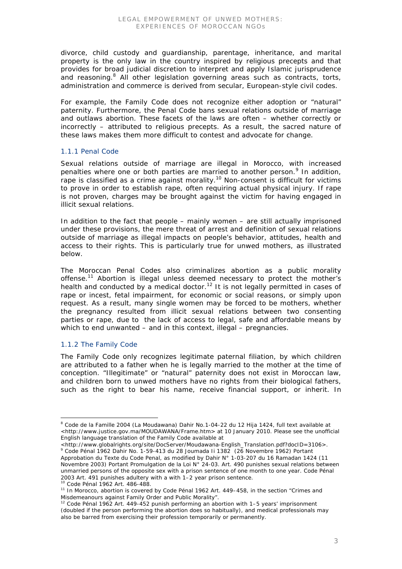divorce, child custody and guardianship, parentage, inheritance, and marital property is the only law in the country inspired by religious precepts and that provides for broad judicial discretion to interpret and apply Islamic jurisprudence and reasoning.<sup>8</sup> All other legislation governing areas such as contracts, torts, administration and commerce is derived from secular, European-style civil codes.

For example, the Family Code does not recognize either adoption or "natural" paternity. Furthermore, the Penal Code bans sexual relations outside of marriage and outlaws abortion. These facets of the laws are often – whether correctly or incorrectly – attributed to religious precepts. As a result, the sacred nature of these laws makes them more difficult to contest and advocate for change.

#### *1.1.1 Penal Code*

Sexual relations outside of marriage are illegal in Morocco, with increased penalties where one or both parties are married to another person.<sup>9</sup> In addition, rape is classified as a crime against morality.<sup>10</sup> Non-consent is difficult for victims to prove in order to establish rape, often requiring actual physical injury. If rape is not proven, charges may be brought against the victim for having engaged in illicit sexual relations.

In addition to the fact that people – mainly women – are still actually imprisoned under these provisions, the mere threat of arrest and definition of sexual relations outside of marriage as illegal impacts on people's behavior, attitudes, health and access to their rights. This is particularly true for unwed mothers, as illustrated below.

The Moroccan Penal Codes also criminalizes abortion as a public morality offense.<sup>11</sup> Abortion is illegal unless deemed necessary to protect the mother's health and conducted by a medical doctor.<sup>12</sup> It is not legally permitted in cases of rape or incest, fetal impairment, for economic or social reasons, or simply upon request. As a result, many single women may be forced to be mothers, whether the pregnancy resulted from illicit sexual relations between two consenting parties or rape, due to the lack of access to legal, safe and affordable means by which to end unwanted – and in this context, illegal – pregnancies.

# *1.1.2 The Family Code*

The Family Code only recognizes legitimate paternal filiation, by which children are attributed to a father when he is legally married to the mother at the time of conception. "Illegitimate" or "natural" paternity does not exist in Moroccan law, and children born to unwed mothers have no rights from their biological fathers, such as the right to bear his name, receive financial support, or inherit. In

 <sup>8</sup> *Code de la Famille* 2004 (La Moudawana) Dahir No.1-04-22 du 12 Hija 1424, full text available at <http://www.justice.gov.ma/MOUDAWANA/Frame.htm> at 10 January 2010. Please see the unofficial English language translation of the Family Code available at

<sup>&</sup>lt;http://www.globalrights.org/site/DocServer/Moudawana-English\_Translation.pdf?docID=3106>. 9 *Code Pénal* 1962 Dahir No. 1-59-413 du 28 Joumada Ii 1382 (26 Novembre 1962) Portant Approbation du Texte du Code Penal, as modified by Dahir N° 1-03-207 du 16 Ramadan 1424 (11 Novembre 2003) Portant Promulgation de la Loi N° 24-03. Art. 490 punishes sexual relations between unmarried persons of the opposite sex with a prison sentence of one month to one year. Code Pénal 2003 Art. 491 punishes adultery with a with 1–2 year prison sentence.<br><sup>10</sup> Code Pénal 1962 Art. 486-488.<br><sup>11</sup> In Morocco, abortion is covered by Code Pénal 1962 Art. 449–458, in the section "Crimes and

Misdemeanours against Family Order and Public Morality".

<sup>12</sup> *Code Pénal* 1962 Art. 449-452 punish performing an abortion with 1–5 years' imprisonment (doubled if the person performing the abortion does so habitually), and medical professionals may also be barred from exercising their profession temporarily or permanently.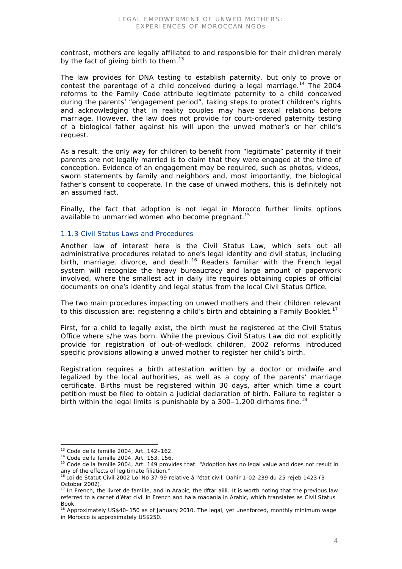contrast, mothers are legally affiliated to and responsible for their children merely by the fact of giving birth to them. $^{13}$ 

The law provides for DNA testing to establish paternity, but only to prove or contest the parentage of a child conceived during a legal marriage.<sup>14</sup> The 2004 reforms to the Family Code attribute legitimate paternity to a child conceived during the parents' "engagement period", taking steps to protect children's rights and acknowledging that in reality couples may have sexual relations before marriage. However, the law does not provide for court-ordered paternity testing of a biological father against his will upon the unwed mother's or her child's request.

As a result, the only way for children to benefit from "legitimate" paternity if their parents are not legally married is to claim that they were engaged at the time of conception. Evidence of an engagement may be required, such as photos, videos, sworn statements by family and neighbors and, most importantly, the biological father's consent to cooperate. In the case of unwed mothers, this is definitely not an assumed fact.

Finally, the fact that adoption is not legal in Morocco further limits options available to unmarried women who become pregnant.<sup>15</sup>

#### *1.1.3 Civil Status Laws and Procedures*

Another law of interest here is the Civil Status Law, which sets out all administrative procedures related to one's legal identity and civil status, including birth, marriage, divorce, and death.<sup>16</sup> Readers familiar with the French legal system will recognize the heavy bureaucracy and large amount of paperwork involved, where the smallest act in daily life requires obtaining copies of official documents on one's identity and legal status from the local Civil Status Office.

The two main procedures impacting on unwed mothers and their children relevant to this discussion are: registering a child's birth and obtaining a Family Booklet.<sup>17</sup>

First, for a child to legally exist, the birth must be registered at the Civil Status Office where s/he was born. While the previous Civil Status Law did not explicitly provide for registration of out-of-wedlock children, 2002 reforms introduced specific provisions allowing a unwed mother to register her child's birth.

Registration requires a birth attestation written by a doctor or midwife and legalized by the local authorities, as well as a copy of the parents' marriage certificate. Births must be registered within 30 days, after which time a court petition must be filed to obtain a judicial declaration of birth. Failure to register a birth within the legal limits is punishable by a  $300-1,200$  dirhams fine.<sup>18</sup>

 <sup>13</sup> *Code de la famille* 2004, Art. 142–162.

<sup>14</sup> *Code de la famille* 2004, Art. 153, 156.

<sup>15</sup> *Code de la famille* 2004, Art. 149 provides that: "Adoption has no legal value and does not result in any of the effects of legitimate filiation."

<sup>&</sup>lt;sup>16</sup> Loi de Statut Civil 2002 Loi No 37-99 relative à l'état civil, Dahir 1-02-239 du 25 rejeb 1423 (3 October 2002).

<sup>17</sup> In French, the *livret de famille,* and in Arabic, the *dftar ailli*. It is worth noting that the previous law referred to a *carnet d'état civil* in French and *hala madania* in Arabic, which translates as Civil Status Book.

 $18$  Approximately US\$40–150 as of January 2010. The legal, yet unenforced, monthly minimum wage in Morocco is approximately US\$250.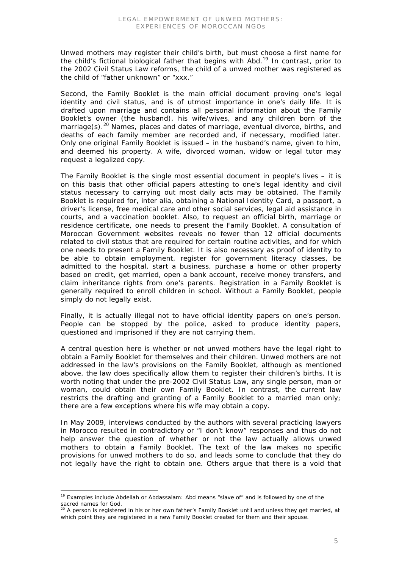Unwed mothers may register their child's birth, but must choose a first name for the child's fictional biological father that begins with *Abd*. 19 In contrast, prior to the 2002 Civil Status Law reforms, the child of a unwed mother was registered as the child of "father unknown" or "xxx."

Second, the Family Booklet is the main official document proving one's legal identity and civil status, and is of utmost importance in one's daily life. It is drafted upon marriage and contains all personal information about the Family Booklet's owner (the husband), his wife/wives, and any children born of the marriage(s).<sup>20</sup> Names, places and dates of marriage, eventual divorce, births, and deaths of each family member are recorded and, if necessary, modified later. Only one original Family Booklet is issued – in the husband's name, given to him, and deemed his property. A wife, divorced woman, widow or legal tutor may request a *legalized copy.*

The Family Booklet is the single most essential document in people's lives – it is on this basis that other official papers attesting to one's legal identity and civil status necessary to carrying out most daily acts may be obtained. The Family Booklet is required for, *inter alia*, obtaining a National Identity Card, a passport, a driver's license, free medical care and other social services, legal aid assistance in courts, and a vaccination booklet. Also, to request an official birth, marriage or residence certificate, one needs to present the Family Booklet. A consultation of Moroccan Government websites reveals no fewer than 12 official documents related to civil status that are required for certain routine activities, and for which one needs to present a Family Booklet. It is also necessary as proof of identity to be able to obtain employment, register for government literacy classes, be admitted to the hospital, start a business, purchase a home or other property based on credit, get married, open a bank account, receive money transfers, and claim inheritance rights from one's parents. Registration in a Family Booklet is generally required to enroll children in school. Without a Family Booklet, people simply do not legally exist.

Finally, it is actually illegal not to have official identity papers on one's person. People can be stopped by the police, asked to produce identity papers, questioned and imprisoned if they are not carrying them.

A central question here is whether or not unwed mothers have the legal right to obtain a Family Booklet for themselves and their children. Unwed mothers are not addressed in the law's provisions on the Family Booklet, although as mentioned above, the law does specifically allow them to register their children's births. It is worth noting that under the pre-2002 Civil Status Law, any single person, man or woman, could obtain their own Family Booklet. In contrast, the current law restricts the drafting and granting of a Family Booklet to a married man only; there are a few exceptions where his wife may obtain a copy.

In May 2009, interviews conducted by the authors with several practicing lawyers in Morocco resulted in contradictory or "I don't know" responses and thus do not help answer the question of whether or not the law actually allows unwed mothers to obtain a Family Booklet. The text of the law makes no specific provisions for unwed mothers to do so, and leads some to conclude that they do not legally have the right to obtain one. Others argue that there is a void that

 <sup>19</sup> Examples include *Abdellah* or *Abdassalam*: *Abd* means "slave of" and is followed by one of the sacred names for God.

 $20$  A person is registered in his or her own father's Family Booklet until and unless they get married, at which point they are registered in a new Family Booklet created for them and their spouse.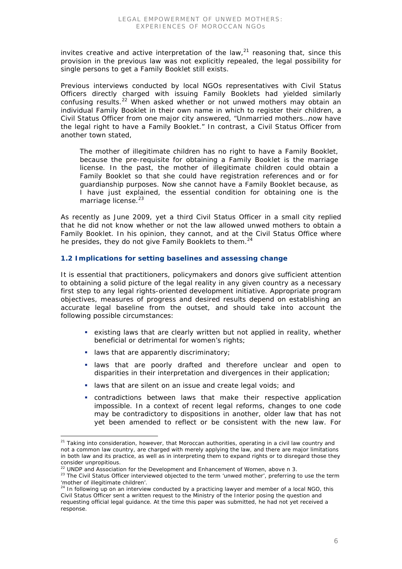invites creative and active interpretation of the law, $^{21}$  reasoning that, since this provision in the previous law was not explicitly repealed, the legal possibility for single persons to get a Family Booklet still exists.

Previous interviews conducted by local NGOs representatives with Civil Status Officers directly charged with issuing Family Booklets had yielded similarly confusing results.22 When asked whether or not unwed mothers may obtain an individual Family Booklet in their own name in which to register their children, a Civil Status Officer from one major city answered, "Unmarried mothers…now have the legal right to have a Family Booklet." In contrast, a Civil Status Officer from another town stated,

The mother of illegitimate children has no right to have a Family Booklet, because the pre-requisite for obtaining a Family Booklet is the marriage license. In the past, the mother of illegitimate children could obtain a Family Booklet so that she could have registration references and or for guardianship purposes. Now she cannot have a Family Booklet because, as I have just explained, the essential condition for obtaining one is the marriage license.<sup>23</sup>

As recently as June 2009, yet a third Civil Status Officer in a small city replied that he did not know whether or not the law allowed unwed mothers to obtain a Family Booklet. In his opinion, they cannot, and at the Civil Status Office where he presides, they do not give Family Booklets to them.<sup>24</sup>

# **1.2 Implications for setting baselines and assessing change**

It is essential that practitioners, policymakers and donors give sufficient attention to obtaining a solid picture of the legal reality in any given country as a necessary first step to any legal rights-oriented development initiative. Appropriate program objectives, measures of progress and desired results depend on establishing an accurate legal baseline from the outset, and should take into account the following possible circumstances:

- existing laws that are clearly written but not applied in reality, whether beneficial or detrimental for women's rights;
- **I** laws that are apparently discriminatory;
- **I laws that are poorly drafted and therefore unclear and open to** disparities in their interpretation and divergences in their application;
- laws that are silent on an issue and create legal voids; and
- contradictions between laws that make their respective application impossible. In a context of recent legal reforms, changes to one code may be contradictory to dispositions in another, older law that has not yet been amended to reflect or be consistent with the new law. For

<sup>&</sup>lt;sup>21</sup> Taking into consideration, however, that Moroccan authorities, operating in a civil law country and not a common law country, are charged with merely applying the law, and there are major limitations in both law and its practice, as well as in interpreting them to expand rights or to disregard those they consider unpropitious.

 $22$  UNDP and Association for the Development and Enhancement of Women, above n 3.

<sup>&</sup>lt;sup>23</sup> The Civil Status Officer interviewed objected to the term 'unwed mother', preferring to use the term 'mother of illegitimate children'. 24 In following up on an interview conducted by a practicing lawyer and member of a local NGO, this

Civil Status Officer sent a written request to the Ministry of the Interior posing the question and requesting official legal guidance. At the time this paper was submitted, he had not yet received a response.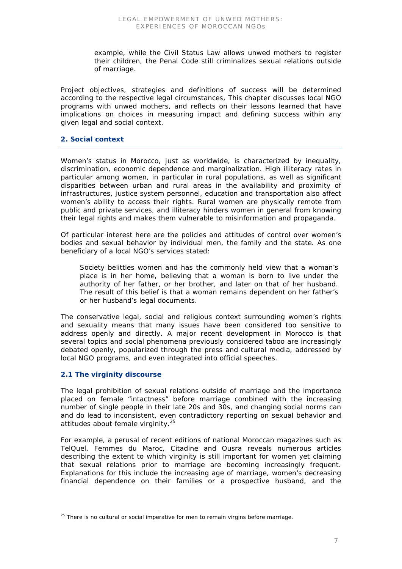example, while the Civil Status Law allows unwed mothers to register their children, the Penal Code still criminalizes sexual relations outside of marriage.

Project objectives, strategies and definitions of success will be determined according to the respective legal circumstances, This chapter discusses local NGO programs with unwed mothers, and reflects on their lessons learned that have implications on choices in measuring impact and defining success within any given legal and social context.

#### **2. Social context**

Women's status in Morocco, just as worldwide, is characterized by inequality, discrimination, economic dependence and marginalization. High illiteracy rates in particular among women, in particular in rural populations, as well as significant disparities between urban and rural areas in the availability and proximity of infrastructures, justice system personnel, education and transportation also affect women's ability to access their rights. Rural women are physically remote from public and private services, and illiteracy hinders women in general from knowing their legal rights and makes them vulnerable to misinformation and propaganda.

Of particular interest here are the policies and attitudes of control over women's bodies and sexual behavior by individual men, the family and the state. As one beneficiary of a local NGO's services stated:

Society belittles women and has the commonly held view that a woman's place is in her home, believing that a woman is born to live under the authority of her father, or her brother, and later on that of her husband. The result of this belief is that a woman remains dependent on her father's or her husband's legal documents.

The conservative legal, social and religious context surrounding women's rights and sexuality means that many issues have been considered too sensitive to address openly and directly. A major recent development in Morocco is that several topics and social phenomena previously considered taboo are increasingly debated openly, popularized through the press and cultural media, addressed by local NGO programs, and even integrated into official speeches.

# **2.1 The virginity discourse**

The legal prohibition of sexual relations outside of marriage and the importance placed on female "intactness" before marriage combined with the increasing number of single people in their late 20s and 30s, and changing social norms can and do lead to inconsistent, even contradictory reporting on sexual behavior and attitudes about female virginity.<sup>25</sup>

For example, a perusal of recent editions of national Moroccan magazines such as *TelQuel*, *Femmes du Maroc*, *Citadine* and *Ousra* reveals numerous articles describing the extent to which virginity is still important for women yet claiming that sexual relations prior to marriage are becoming increasingly frequent. Explanations for this include the increasing age of marriage, women's decreasing financial dependence on their families or a prospective husband, and the

 $25$  There is no cultural or social imperative for men to remain virgins before marriage.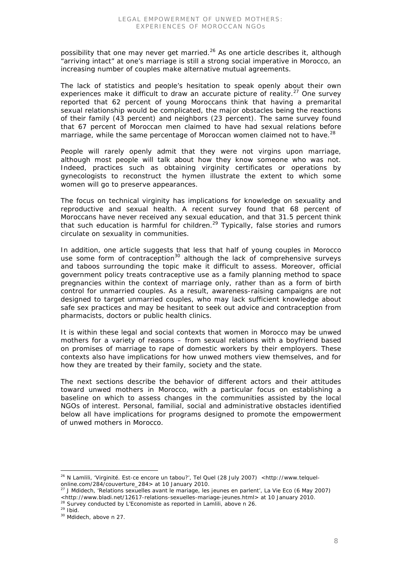possibility that one may never get married.<sup>26</sup> As one article describes it, although "arriving intact" at one's marriage is still a strong social imperative in Morocco, an increasing number of couples make alternative mutual agreements.

The lack of statistics and people's hesitation to speak openly about their own experiences make it difficult to draw an accurate picture of reality.<sup>27</sup> One survey reported that 62 percent of young Moroccans think that having a premarital sexual relationship would be complicated, the major obstacles being the reactions of their family (43 percent) and neighbors (23 percent). The same survey found that 67 percent of Moroccan men claimed to have had sexual relations before marriage, while the same percentage of Moroccan women claimed not to have.<sup>28</sup>

People will rarely openly admit that they were not virgins upon marriage, although most people will talk about how they know someone who was not. Indeed, practices such as obtaining virginity certificates or operations by gynecologists to reconstruct the hymen illustrate the extent to which some women will go to preserve appearances.

The focus on technical virginity has implications for knowledge on sexuality and reproductive and sexual health. A recent survey found that 68 percent of Moroccans have never received any sexual education, and that 31.5 percent think that such education is harmful for children.<sup>29</sup> Typically, false stories and rumors circulate on sexuality in communities.

In addition, one article suggests that less that half of young couples in Morocco use some form of contraception<sup>30</sup> although the lack of comprehensive surveys and taboos surrounding the topic make it difficult to assess. Moreover, official government policy treats contraceptive use as a family planning method to space pregnancies within the context of marriage only, rather than as a form of birth control for unmarried couples. As a result, awareness-raising campaigns are not designed to target unmarried couples, who may lack sufficient knowledge about safe sex practices and may be hesitant to seek out advice and contraception from pharmacists, doctors or public health clinics.

It is within these legal and social contexts that women in Morocco may be unwed mothers for a variety of reasons – from sexual relations with a boyfriend based on promises of marriage to rape of domestic workers by their employers. These contexts also have implications for how unwed mothers view themselves, and for how they are treated by their family, society and the state.

The next sections describe the behavior of different actors and their attitudes toward unwed mothers in Morocco, with a particular focus on establishing a baseline on which to assess changes in the communities assisted by the local NGOs of interest. Personal, familial, social and administrative obstacles identified below all have implications for programs designed to promote the empowerment of unwed mothers in Morocco.

<sup>&</sup>lt;sup>26</sup> N Lamlili, 'Virginité. Est-ce encore un tabou?', Tel Quel (28 July 2007) <http://www.telquelonline.com/284/couverture\_284> at 10 January 2010.

<sup>27</sup> J Mdidech, 'Relations sexuelles avant le mariage, les jeunes en parlent', La Vie Eco (6 May 2007) <http://www.bladi.net/12617-relations-sexuelles-mariage-jeunes.html> at 10 January 2010.

<sup>28</sup> Survey conducted by *L'Economiste* as reported in Lamlili, above n 26.

 $29$  Ibid.

<sup>30</sup> Mdidech, above n 27.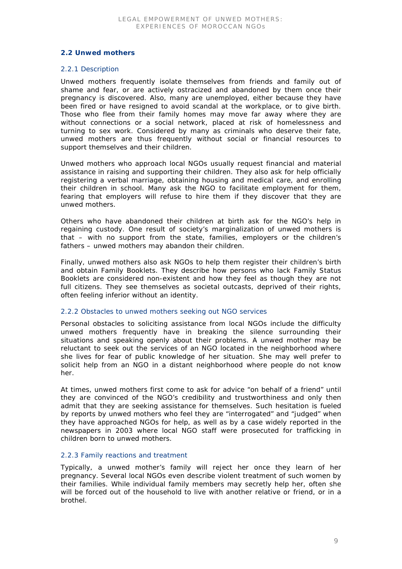# **2.2 Unwed mothers**

#### *2.2.1 Description*

Unwed mothers frequently isolate themselves from friends and family out of shame and fear, or are actively ostracized and abandoned by them once their pregnancy is discovered. Also, many are unemployed, either because they have been fired or have resigned to avoid scandal at the workplace, or to give birth. Those who flee from their family homes may move far away where they are without connections or a social network, placed at risk of homelessness and turning to sex work. Considered by many as criminals who deserve their fate, unwed mothers are thus frequently without social or financial resources to support themselves and their children.

Unwed mothers who approach local NGOs usually request financial and material assistance in raising and supporting their children. They also ask for help officially registering a verbal marriage, obtaining housing and medical care, and enrolling their children in school. Many ask the NGO to facilitate employment for them, fearing that employers will refuse to hire them if they discover that they are unwed mothers.

Others who have abandoned their children at birth ask for the NGO's help in regaining custody. One result of society's marginalization of unwed mothers is that – with no support from the state, families, employers or the children's fathers – unwed mothers may abandon their children.

Finally, unwed mothers also ask NGOs to help them register their children's birth and obtain Family Booklets. They describe how persons who lack Family Status Booklets are considered non-existent and how they feel as though they are not full citizens. They see themselves as societal outcasts, deprived of their rights, often feeling inferior without an identity.

#### *2.2.2 Obstacles to unwed mothers seeking out NGO services*

Personal obstacles to soliciting assistance from local NGOs include the difficulty unwed mothers frequently have in breaking the silence surrounding their situations and speaking openly about their problems. A unwed mother may be reluctant to seek out the services of an NGO located in the neighborhood where she lives for fear of public knowledge of her situation. She may well prefer to solicit help from an NGO in a distant neighborhood where people do not know her.

At times, unwed mothers first come to ask for advice "on behalf of a friend" until they are convinced of the NGO's credibility and trustworthiness and only then admit that they are seeking assistance for themselves. Such hesitation is fueled by reports by unwed mothers who feel they are "interrogated" and "judged" when they have approached NGOs for help, as well as by a case widely reported in the newspapers in 2003 where local NGO staff were prosecuted for trafficking in children born to unwed mothers.

# *2.2.3 Family reactions and treatment*

Typically, a unwed mother's family will reject her once they learn of her pregnancy. Several local NGOs even describe violent treatment of such women by their families. While individual family members may secretly help her, often she will be forced out of the household to live with another relative or friend, or in a brothel.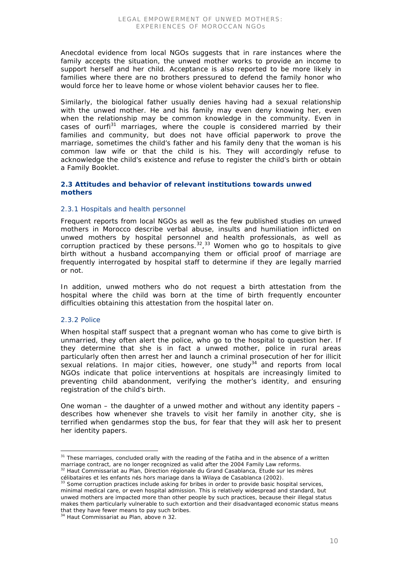Anecdotal evidence from local NGOs suggests that in rare instances where the family accepts the situation, the unwed mother works to provide an income to support herself and her child. Acceptance is also reported to be more likely in families where there are no brothers pressured to defend the family honor who would force her to leave home or whose violent behavior causes her to flee.

Similarly, the biological father usually denies having had a sexual relationship with the unwed mother. He and his family may even deny knowing her, even when the relationship may be common knowledge in the community. Even in cases of *ourfi <sup>31</sup>* marriages, where the couple is considered married by their families and community, but does not have official paperwork to prove the marriage, sometimes the child's father and his family deny that the woman is his common law wife or that the child is his. They will accordingly refuse to acknowledge the child's existence and refuse to register the child's birth or obtain a Family Booklet.

#### **2.3 Attitudes and behavior of relevant institutions towards unwed mothers**

#### *2.3.1 Hospitals and health personnel*

Frequent reports from local NGOs as well as the few published studies on unwed mothers in Morocco describe verbal abuse, insults and humiliation inflicted on unwed mothers by hospital personnel and health professionals, as well as corruption practiced by these persons.<sup>32</sup>,<sup>33</sup> Women who go to hospitals to give birth without a husband accompanying them or official proof of marriage are frequently interrogated by hospital staff to determine if they are legally married or not.

In addition, unwed mothers who do not request a birth attestation from the hospital where the child was born at the time of birth frequently encounter difficulties obtaining this attestation from the hospital later on.

#### *2.3.2 Police*

When hospital staff suspect that a pregnant woman who has come to give birth is unmarried, they often alert the police, who go to the hospital to question her. If they determine that she is in fact a unwed mother, police in rural areas particularly often then arrest her and launch a criminal prosecution of her for illicit sexual relations. In major cities, however, one study $34$  and reports from local NGOs indicate that police interventions at hospitals are increasingly limited to preventing child abandonment, verifying the mother's identity, and ensuring registration of the child's birth.

One woman – the daughter of a unwed mother and without any identity papers – describes how whenever she travels to visit her family in another city, she is terrified when gendarmes stop the bus, for fear that they will ask her to present her identity papers.

34 Haut Commissariat au Plan, above n 32.

 <sup>31</sup> These marriages, concluded orally with the reading of the *Fatiha* and in the absence of a written marriage contract, are no longer recognized as valid after the 2004 Family Law reforms. 32 Haut Commissariat au Plan, Direction régionale du Grand Casablanca, *Etude sur les mères* 

*célibataires et les enfants nés hors mariage dans la Wilaya de Casablanca* (2002).

 $33$  Some corruption practices include asking for bribes in order to provide basic hospital services, minimal medical care, or even hospital admission. This is relatively widespread and standard, but unwed mothers are impacted more than other people by such practices, because their illegal status makes them particularly vulnerable to such extortion and their disadvantaged economic status means that they have fewer means to pay such bribes.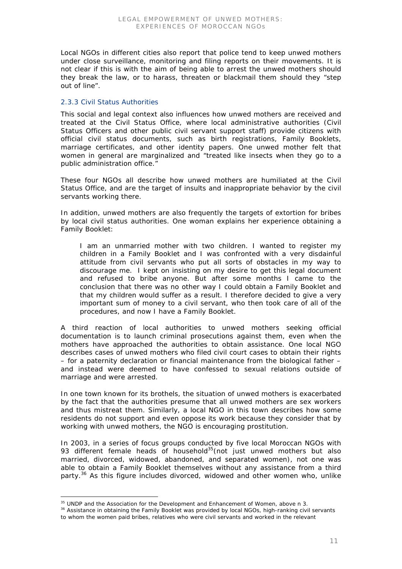Local NGOs in different cities also report that police tend to keep unwed mothers under close surveillance, monitoring and filing reports on their movements. It is not clear if this is with the aim of being able to arrest the unwed mothers should they break the law, or to harass, threaten or blackmail them should they "step out of line".

# *2.3.3 Civil Status Authorities*

This social and legal context also influences how unwed mothers are received and treated at the Civil Status Office, where local administrative authorities (Civil Status Officers and other public civil servant support staff) provide citizens with official civil status documents, such as birth registrations, Family Booklets, marriage certificates, and other identity papers. One unwed mother felt that women in general are marginalized and "treated like insects when they go to a public administration office."

These four NGOs all describe how unwed mothers are humiliated at the Civil Status Office, and are the target of insults and inappropriate behavior by the civil servants working there.

In addition, unwed mothers are also frequently the targets of extortion for bribes by local civil status authorities. One woman explains her experience obtaining a Family Booklet:

I am an unmarried mother with two children. I wanted to register my children in a Family Booklet and I was confronted with a very disdainful attitude from civil servants who put all sorts of obstacles in my way to discourage me. I kept on insisting on my desire to get this legal document and refused to bribe anyone. But after some months I came to the conclusion that there was no other way I could obtain a Family Booklet and that my children would suffer as a result. I therefore decided to give a very important sum of money to a civil servant, who then took care of all of the procedures, and now I have a Family Booklet.

A third reaction of local authorities to unwed mothers seeking official documentation is to launch criminal prosecutions against them, even when the mothers have approached the authorities to obtain assistance. One local NGO describes cases of unwed mothers who filed civil court cases to obtain their rights – for a paternity declaration or financial maintenance from the biological father – and instead were deemed to have confessed to sexual relations outside of marriage and were arrested.

In one town known for its brothels, the situation of unwed mothers is exacerbated by the fact that the authorities presume that all unwed mothers are sex workers and thus mistreat them. Similarly, a local NGO in this town describes how some residents do not support and even oppose its work because they consider that by working with unwed mothers, the NGO is encouraging prostitution.

In 2003, in a series of focus groups conducted by five local Moroccan NGOs with 93 different female heads of household<sup>35</sup> (not just unwed mothers but also married, divorced, widowed, abandoned, and separated women), not one was able to obtain a Family Booklet themselves without any assistance from a third party.<sup>36</sup> As this figure includes divorced, widowed and other women who, unlike

 $35$  UNDP and the Association for the Development and Enhancement of Women, above n 3.

<sup>&</sup>lt;sup>36</sup> Assistance in obtaining the Family Booklet was provided by local NGOs, high-ranking civil servants to whom the women paid bribes, relatives who were civil servants and worked in the relevant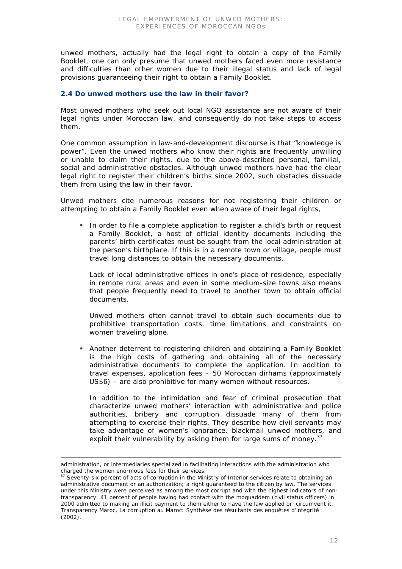unwed mothers, actually had the legal right to obtain a copy of the Family Booklet, one can only presume that unwed mothers faced even more resistance and difficulties than other women due to their illegal status and lack of legal provisions guaranteeing their right to obtain a Family Booklet.

# **2.4 Do unwed mothers use the law in their favor?**

Most unwed mothers who seek out local NGO assistance are not aware of their legal rights under Moroccan law, and consequently do not take steps to access them.

One common assumption in law-and-development discourse is that "knowledge is power". Even the unwed mothers who know their rights are frequently unwilling or unable to claim their rights, due to the above-described personal, familial, social and administrative obstacles. Although unwed mothers have had the clear legal right to register their children's births since 2002, such obstacles dissuade them from using the law in their favor.

Unwed mothers cite numerous reasons for not registering their children or attempting to obtain a Family Booklet even when aware of their legal rights,

In order to file a complete application to register a child's birth or request a Family Booklet, a host of official identity documents including the parents' birth certificates must be sought from the local administration at the person's birthplace. If this is in a remote town or village, people must travel long distances to obtain the necessary documents.

Lack of local administrative offices in one's place of residence, especially in remote rural areas and even in some medium-size towns also means that people frequently need to travel to another town to obtain official documents.

Unwed mothers often cannot travel to obtain such documents due to prohibitive transportation costs, time limitations and constraints on women traveling alone.

 Another deterrent to registering children and obtaining a Family Booklet is the high costs of gathering and obtaining all of the necessary administrative documents to complete the application. In addition to travel expenses, application fees – 50 Moroccan dirhams (approximately US\$6) – are also prohibitive for many women without resources.

In addition to the intimidation and fear of criminal prosecution that characterize unwed mothers' interaction with administrative and police authorities, bribery and corruption dissuade many of them from attempting to exercise their rights. They describe how civil servants may take advantage of women's ignorance, blackmail unwed mothers, and exploit their vulnerability by asking them for large sums of money.<sup>37</sup>

-

administration, or intermediaries specialized in facilitating interactions with the administration who charged the women enormous fees for their services.

<sup>&</sup>lt;sup>37</sup> Seventy-six percent of acts of corruption in the Ministry of Interior services relate to obtaining an administrative document or an authorization; a right guaranteed to the citizen by law. The services under this Ministry were perceived as among the most corrupt and with the highest indicators of nontransparency: 41 percent of people having had contact with the *moquaddem* (civil status officers) in 2000 admitted to making an illicit payment to them either to have the law applied or circumvent it. Transparency Maroc, *La corruption au Maroc: Synthèse des résultants des enquêtes d'intégrité* (2002).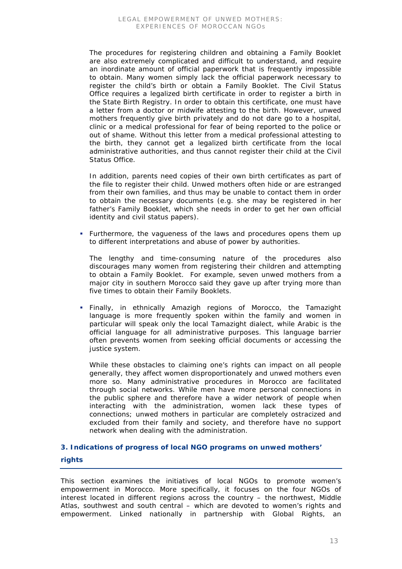The procedures for registering children and obtaining a Family Booklet are also extremely complicated and difficult to understand, and require an inordinate amount of official paperwork that is frequently impossible to obtain. Many women simply lack the official paperwork necessary to register the child's birth or obtain a Family Booklet. The Civil Status Office requires a legalized birth certificate in order to register a birth in the State Birth Registry. In order to obtain this certificate, one must have a letter from a doctor or midwife attesting to the birth. However, unwed mothers frequently give birth privately and do not dare go to a hospital, clinic or a medical professional for fear of being reported to the police or out of shame. Without this letter from a medical professional attesting to the birth, they cannot get a legalized birth certificate from the local administrative authorities, and thus cannot register their child at the Civil Status Office.

In addition, parents need copies of their own birth certificates as part of the file to register their child. Unwed mothers often hide or are estranged from their own families, and thus may be unable to contact them in order to obtain the necessary documents (e.g. she may be registered in her father's Family Booklet, which she needs in order to get her own official identity and civil status papers).

• Furthermore, the vagueness of the laws and procedures opens them up to different interpretations and abuse of power by authorities.

The lengthy and time-consuming nature of the procedures also discourages many women from registering their children and attempting to obtain a Family Booklet. For example, seven unwed mothers from a major city in southern Morocco said they gave up after trying more than five times to obtain their Family Booklets.

 Finally, in ethnically Amazigh regions of Morocco, the Tamazight language is more frequently spoken within the family and women in particular will speak only the local Tamazight dialect, while Arabic is the official language for all administrative purposes. This language barrier often prevents women from seeking official documents or accessing the justice system.

While these obstacles to claiming one's rights can impact on all people generally, they affect women disproportionately and unwed mothers even more so. Many administrative procedures in Morocco are facilitated through social networks. While men have more personal connections in the public sphere and therefore have a wider network of people when interacting with the administration, women lack these types of connections; unwed mothers in particular are completely ostracized and excluded from their family and society, and therefore have no support network when dealing with the administration.

# **3. Indications of progress of local NGO programs on unwed mothers' rights**

This section examines the initiatives of local NGOs to promote women's empowerment in Morocco. More specifically, it focuses on the four NGOs of interest located in different regions across the country – the northwest, Middle Atlas, southwest and south central – which are devoted to women's rights and empowerment. Linked nationally in partnership with Global Rights, an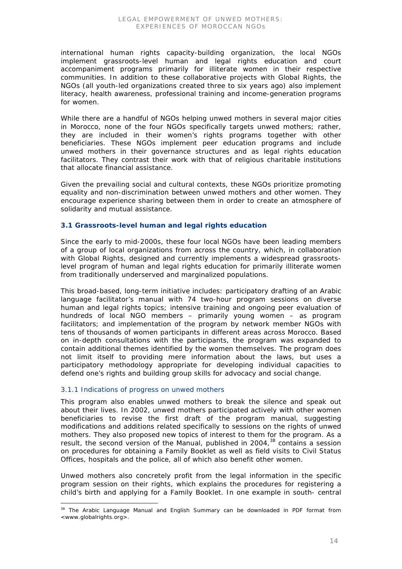international human rights capacity-building organization, the local NGOs implement grassroots-level human and legal rights education and court accompaniment programs primarily for illiterate women in their respective communities. In addition to these collaborative projects with Global Rights, the NGOs (all youth-led organizations created three to six years ago) also implement literacy, health awareness, professional training and income-generation programs for women.

While there are a handful of NGOs helping unwed mothers in several major cities in Morocco, none of the four NGOs specifically targets unwed mothers; rather, they are included in their women's rights programs together with other beneficiaries. These NGOs implement peer education programs and include unwed mothers in their governance structures and as legal rights education facilitators. They contrast their work with that of religious charitable institutions that allocate financial assistance.

Given the prevailing social and cultural contexts, these NGOs prioritize promoting equality and non-discrimination between unwed mothers and other women. They encourage experience sharing between them in order to create an atmosphere of solidarity and mutual assistance.

# **3.1 Grassroots-level human and legal rights education**

Since the early to mid-2000s, these four local NGOs have been leading members of a group of local organizations from across the country, which, in collaboration with Global Rights, designed and currently implements a widespread grassrootslevel program of human and legal rights education for primarily illiterate women from traditionally underserved and marginalized populations.

This broad-based, long-term initiative includes: participatory drafting of an Arabic language facilitator's manual with 74 two-hour program sessions on diverse human and legal rights topics; intensive training and ongoing peer evaluation of hundreds of local NGO members – primarily young women – as program facilitators; and implementation of the program by network member NGOs with tens of thousands of women participants in different areas across Morocco. Based on in-depth consultations with the participants, the program was expanded to contain additional themes identified by the women themselves. The program does not limit itself to providing mere information about the laws, but uses a participatory methodology appropriate for developing individual capacities to defend one's rights and building group skills for advocacy and social change.

# *3.1.1 Indications of progress on unwed mothers*

This program also enables unwed mothers to break the silence and speak out about their lives. In 2002, unwed mothers participated actively with other women beneficiaries to revise the first draft of the program manual, suggesting modifications and additions related specifically to sessions on the rights of unwed mothers. They also proposed new topics of interest to them for the program. As a result, the second version of the Manual, published in 2004,<sup>38</sup> contains a session on procedures for obtaining a Family Booklet as well as field visits to Civil Status Offices, hospitals and the police, all of which also benefit other women.

Unwed mothers also concretely profit from the legal information in the specific program session on their rights, which explains the procedures for registering a child's birth and applying for a Family Booklet. In one example in south- central

 <sup>38</sup> The *Arabic Language Manual* and *English Summary* can be downloaded in PDF format from <www.globalrights.org>.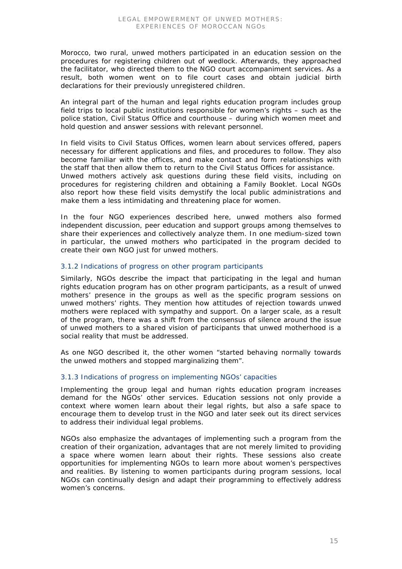Morocco, two rural, unwed mothers participated in an education session on the procedures for registering children out of wedlock. Afterwards, they approached the facilitator, who directed them to the NGO court accompaniment services. As a result, both women went on to file court cases and obtain judicial birth declarations for their previously unregistered children.

An integral part of the human and legal rights education program includes group field trips to local public institutions responsible for women's rights – such as the police station, Civil Status Office and courthouse – during which women meet and hold question and answer sessions with relevant personnel.

In field visits to Civil Status Offices, women learn about services offered, papers necessary for different applications and files, and procedures to follow. They also become familiar with the offices, and make contact and form relationships with the staff that then allow them to return to the Civil Status Offices for assistance. Unwed mothers actively ask questions during these field visits, including on procedures for registering children and obtaining a Family Booklet. Local NGOs also report how these field visits demystify the local public administrations and make them a less intimidating and threatening place for women.

In the four NGO experiences described here, unwed mothers also formed independent discussion, peer education and support groups among themselves to share their experiences and collectively analyze them. In one medium-sized town in particular, the unwed mothers who participated in the program decided to create their own NGO just for unwed mothers.

# *3.1.2 Indications of progress on other program participants*

Similarly, NGOs describe the impact that participating in the legal and human rights education program has on other program participants, as a result of unwed mothers' presence in the groups as well as the specific program sessions on unwed mothers' rights. They mention how attitudes of rejection towards unwed mothers were replaced with sympathy and support. On a larger scale, as a result of the program, there was a shift from the consensus of silence around the issue of unwed mothers to a shared vision of participants that unwed motherhood is a social reality that must be addressed.

As one NGO described it, the other women "started behaving normally towards the unwed mothers and stopped marginalizing them".

# *3.1.3 Indications of progress on implementing NGOs' capacities*

Implementing the group legal and human rights education program increases demand for the NGOs' other services. Education sessions not only provide a context where women learn about their legal rights, but also a safe space to encourage them to develop trust in the NGO and later seek out its direct services to address their individual legal problems.

NGOs also emphasize the advantages of implementing such a program from the creation of their organization, advantages that are not merely limited to providing a space where women learn about their rights. These sessions also create opportunities for implementing NGOs to learn more about women's perspectives and realities. By listening to women participants during program sessions, local NGOs can continually design and adapt their programming to effectively address women's concerns.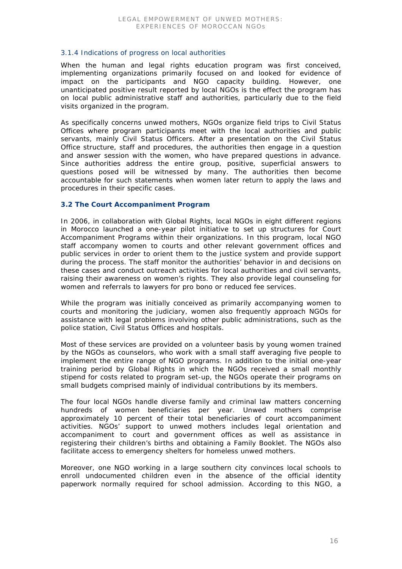# *3.1.4 Indications of progress on local authorities*

When the human and legal rights education program was first conceived, implementing organizations primarily focused on and looked for evidence of impact on the participants and NGO capacity building. However, one unanticipated positive result reported by local NGOs is the effect the program has on local public administrative staff and authorities, particularly due to the field visits organized in the program.

As specifically concerns unwed mothers, NGOs organize field trips to Civil Status Offices where program participants meet with the local authorities and public servants, mainly Civil Status Officers. After a presentation on the Civil Status Office structure, staff and procedures, the authorities then engage in a question and answer session with the women, who have prepared questions in advance. Since authorities address the entire group, positive, superficial answers to questions posed will be witnessed by many. The authorities then become accountable for such statements when women later return to apply the laws and procedures in their specific cases.

# **3.2 The Court Accompaniment Program**

In 2006, in collaboration with Global Rights, local NGOs in eight different regions in Morocco launched a one-year pilot initiative to set up structures for Court Accompaniment Programs within their organizations. In this program, local NGO staff accompany women to courts and other relevant government offices and public services in order to orient them to the justice system and provide support during the process. The staff monitor the authorities' behavior in and decisions on these cases and conduct outreach activities for local authorities and civil servants, raising their awareness on women's rights. They also provide legal counseling for women and referrals to lawyers for pro bono or reduced fee services.

While the program was initially conceived as primarily accompanying women to courts and monitoring the judiciary, women also frequently approach NGOs for assistance with legal problems involving other public administrations, such as the police station, Civil Status Offices and hospitals.

Most of these services are provided on a volunteer basis by young women trained by the NGOs as counselors, who work with a small staff averaging five people to implement the entire range of NGO programs. In addition to the initial one-year training period by Global Rights in which the NGOs received a small monthly stipend for costs related to program set-up, the NGOs operate their programs on small budgets comprised mainly of individual contributions by its members.

The four local NGOs handle diverse family and criminal law matters concerning hundreds of women beneficiaries per year. Unwed mothers comprise approximately 10 percent of their total beneficiaries of court accompaniment activities. NGOs' support to unwed mothers includes legal orientation and accompaniment to court and government offices as well as assistance in registering their children's births and obtaining a Family Booklet. The NGOs also facilitate access to emergency shelters for homeless unwed mothers.

Moreover, one NGO working in a large southern city convinces local schools to enroll undocumented children even in the absence of the official identity paperwork normally required for school admission. According to this NGO, a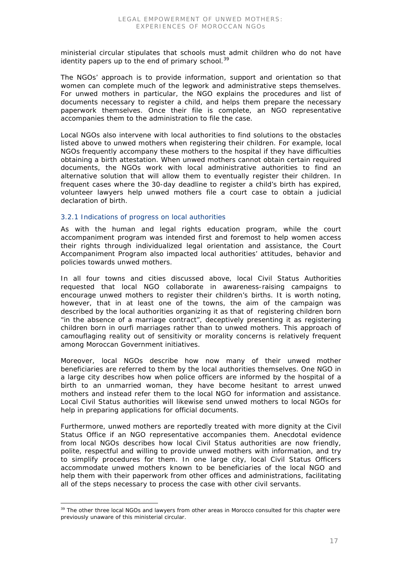ministerial circular stipulates that schools must admit children who do not have identity papers up to the end of primary school.<sup>39</sup>

The NGOs' approach is to provide information, support and orientation so that women can complete much of the legwork and administrative steps themselves. For unwed mothers in particular, the NGO explains the procedures and list of documents necessary to register a child, and helps them prepare the necessary paperwork themselves. Once their file is complete, an NGO representative accompanies them to the administration to file the case.

Local NGOs also intervene with local authorities to find solutions to the obstacles listed above to unwed mothers when registering their children. For example, local NGOs frequently accompany these mothers to the hospital if they have difficulties obtaining a birth attestation. When unwed mothers cannot obtain certain required documents, the NGOs work with local administrative authorities to find an alternative solution that will allow them to eventually register their children. In frequent cases where the 30-day deadline to register a child's birth has expired, volunteer lawyers help unwed mothers file a court case to obtain a judicial declaration of birth.

# *3.2.1 Indications of progress on local authorities*

As with the human and legal rights education program, while the court accompaniment program was intended first and foremost to help women access their rights through individualized legal orientation and assistance, the Court Accompaniment Program also impacted local authorities' attitudes, behavior and policies towards unwed mothers.

In all four towns and cities discussed above, local Civil Status Authorities requested that local NGO collaborate in awareness-raising campaigns to encourage unwed mothers to register their children's births. It is worth noting, however, that in at least one of the towns, the aim of the campaign was described by the local authorities organizing it as that of registering children born "in the absence of a marriage contract", deceptively presenting it as registering children born in *ourfi* marriages rather than to unwed mothers. This approach of camouflaging reality out of sensitivity or morality concerns is relatively frequent among Moroccan Government initiatives.

Moreover, local NGOs describe how now many of their unwed mother beneficiaries are referred to them by the local authorities themselves. One NGO in a large city describes how when police officers are informed by the hospital of a birth to an unmarried woman, they have become hesitant to arrest unwed mothers and instead refer them to the local NGO for information and assistance. Local Civil Status authorities will likewise send unwed mothers to local NGOs for help in preparing applications for official documents.

Furthermore, unwed mothers are reportedly treated with more dignity at the Civil Status Office if an NGO representative accompanies them. Anecdotal evidence from local NGOs describes how local Civil Status authorities are now friendly, polite, respectful and willing to provide unwed mothers with information, and try to simplify procedures for them. In one large city, local Civil Status Officers accommodate unwed mothers known to be beneficiaries of the local NGO and help them with their paperwork from other offices and administrations, facilitating all of the steps necessary to process the case with other civil servants.

<sup>&</sup>lt;sup>39</sup> The other three local NGOs and lawyers from other areas in Morocco consulted for this chapter were previously unaware of this ministerial circular.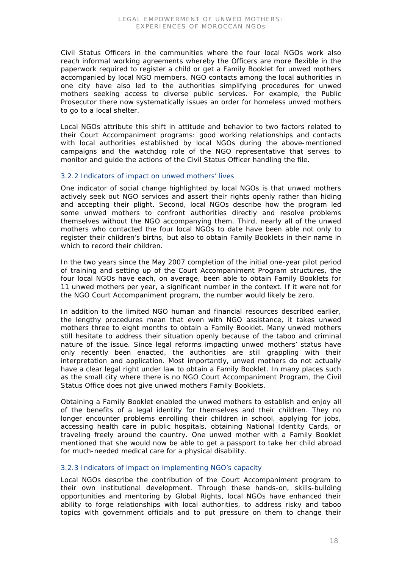Civil Status Officers in the communities where the four local NGOs work also reach informal working agreements whereby the Officers are more flexible in the paperwork required to register a child or get a Family Booklet for unwed mothers accompanied by local NGO members. NGO contacts among the local authorities in one city have also led to the authorities simplifying procedures for unwed mothers seeking access to diverse public services. For example, the Public Prosecutor there now systematically issues an order for homeless unwed mothers to go to a local shelter.

Local NGOs attribute this shift in attitude and behavior to two factors related to their Court Accompaniment programs: good working relationships and contacts with local authorities established by local NGOs during the above-mentioned campaigns and the watchdog role of the NGO representative that serves to monitor and guide the actions of the Civil Status Officer handling the file.

#### *3.2.2 Indicators of impact on unwed mothers' lives*

One indicator of social change highlighted by local NGOs is that unwed mothers actively seek out NGO services and assert their rights openly rather than hiding and accepting their plight. Second, local NGOs describe how the program led some unwed mothers to confront authorities directly and resolve problems themselves without the NGO accompanying them. Third, nearly all of the unwed mothers who contacted the four local NGOs to date have been able not only to register their children's births, but also to obtain Family Booklets in their name in which to record their children.

In the two years since the May 2007 completion of the initial one-year pilot period of training and setting up of the Court Accompaniment Program structures, the four local NGOs have each, on average, been able to obtain Family Booklets for 11 unwed mothers per year, a significant number in the context. If it were not for the NGO Court Accompaniment program, the number would likely be zero.

In addition to the limited NGO human and financial resources described earlier, the lengthy procedures mean that even with NGO assistance, it takes unwed mothers three to eight months to obtain a Family Booklet. Many unwed mothers still hesitate to address their situation openly because of the taboo and criminal nature of the issue. Since legal reforms impacting unwed mothers' status have only recently been enacted, the authorities are still grappling with their interpretation and application. Most importantly, unwed mothers do not actually have a clear legal right under law to obtain a Family Booklet. In many places such as the small city where there is no NGO Court Accompaniment Program, the Civil Status Office does not give unwed mothers Family Booklets.

Obtaining a Family Booklet enabled the unwed mothers to establish and enjoy all of the benefits of a legal identity for themselves and their children. They no longer encounter problems enrolling their children in school, applying for jobs, accessing health care in public hospitals, obtaining National Identity Cards, or traveling freely around the country. One unwed mother with a Family Booklet mentioned that she would now be able to get a passport to take her child abroad for much-needed medical care for a physical disability.

# *3.2.3 Indicators of impact on implementing NGO's capacity*

Local NGOs describe the contribution of the Court Accompaniment program to their own institutional development. Through these hands-on, skills-building opportunities and mentoring by Global Rights, local NGOs have enhanced their ability to forge relationships with local authorities, to address risky and taboo topics with government officials and to put pressure on them to change their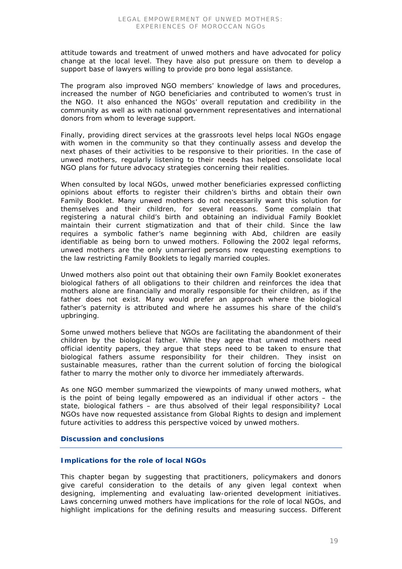attitude towards and treatment of unwed mothers and have advocated for policy change at the local level. They have also put pressure on them to develop a support base of lawyers willing to provide pro bono legal assistance.

The program also improved NGO members' knowledge of laws and procedures, increased the number of NGO beneficiaries and contributed to women's trust in the NGO. It also enhanced the NGOs' overall reputation and credibility in the community as well as with national government representatives and international donors from whom to leverage support.

Finally, providing direct services at the grassroots level helps local NGOs engage with women in the community so that they continually assess and develop the next phases of their activities to be responsive to their priorities. In the case of unwed mothers, regularly listening to their needs has helped consolidate local NGO plans for future advocacy strategies concerning their realities.

When consulted by local NGOs, unwed mother beneficiaries expressed conflicting opinions about efforts to register their children's births and obtain their own Family Booklet. Many unwed mothers do not necessarily want this solution for themselves and their children, for several reasons. Some complain that registering a natural child's birth and obtaining an individual Family Booklet maintain their current stigmatization and that of their child. Since the law requires a symbolic father's name beginning with *Abd*, children are easily identifiable as being born to unwed mothers. Following the 2002 legal reforms, unwed mothers are the only unmarried persons now requesting exemptions to the law restricting Family Booklets to legally married couples.

Unwed mothers also point out that obtaining their own Family Booklet exonerates biological fathers of all obligations to their children and reinforces the idea that mothers alone are financially and morally responsible for their children, as if the father does not exist. Many would prefer an approach where the biological father's paternity is attributed and where he assumes his share of the child's upbringing.

Some unwed mothers believe that NGOs are facilitating the abandonment of their children by the biological father. While they agree that unwed mothers need official identity papers, they argue that steps need to be taken to ensure that biological fathers assume responsibility for their children. They insist on sustainable measures, rather than the current solution of forcing the biological father to marry the mother only to divorce her immediately afterwards.

As one NGO member summarized the viewpoints of many unwed mothers, what is the point of being legally empowered as an individual if other actors – the state, biological fathers – are thus absolved of their legal responsibility? Local NGOs have now requested assistance from Global Rights to design and implement future activities to address this perspective voiced by unwed mothers.

# **Discussion and conclusions**

# **Implications for the role of local NGOs**

This chapter began by suggesting that practitioners, policymakers and donors give careful consideration to the details of any given legal context when designing, implementing and evaluating law-oriented development initiatives. Laws concerning unwed mothers have implications for the role of local NGOs, and highlight implications for the defining results and measuring success. Different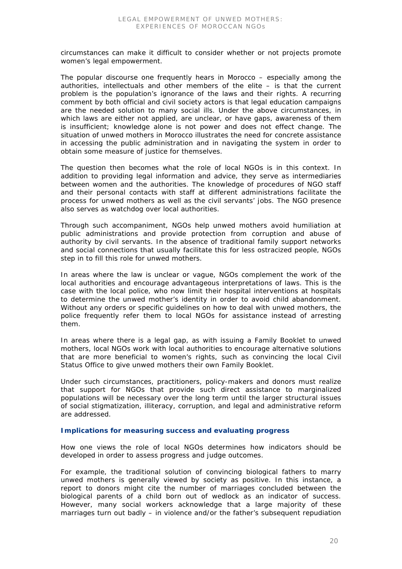circumstances can make it difficult to consider whether or not projects promote women's legal empowerment.

The popular discourse one frequently hears in Morocco – especially among the authorities, intellectuals and other members of the elite – is that the current problem is the population's ignorance of the laws and their rights. A recurring comment by both official and civil society actors is that legal education campaigns are the needed solution to many social ills. Under the above circumstances, in which laws are either not applied, are unclear, or have gaps, awareness of them is insufficient; knowledge alone is not power and does not effect change. The situation of unwed mothers in Morocco illustrates the need for concrete assistance in accessing the public administration and in navigating the system in order to obtain some measure of justice for themselves.

The question then becomes what the role of local NGOs is in this context. In addition to providing legal information and advice, they serve as intermediaries between women and the authorities. The knowledge of procedures of NGO staff and their personal contacts with staff at different administrations facilitate the process for unwed mothers as well as the civil servants' jobs. The NGO presence also serves as watchdog over local authorities.

Through such accompaniment, NGOs help unwed mothers avoid humiliation at public administrations and provide protection from corruption and abuse of authority by civil servants. In the absence of traditional family support networks and social connections that usually facilitate this for less ostracized people, NGOs step in to fill this role for unwed mothers.

In areas where the law is unclear or vague, NGOs complement the work of the local authorities and encourage advantageous interpretations of laws. This is the case with the local police, who now limit their hospital interventions at hospitals to determine the unwed mother's identity in order to avoid child abandonment. Without any orders or specific guidelines on how to deal with unwed mothers, the police frequently refer them to local NGOs for assistance instead of arresting them.

In areas where there is a legal gap, as with issuing a Family Booklet to unwed mothers, local NGOs work with local authorities to encourage alternative solutions that are more beneficial to women's rights, such as convincing the local Civil Status Office to give unwed mothers their own Family Booklet.

Under such circumstances, practitioners, policy-makers and donors must realize that support for NGOs that provide such direct assistance to marginalized populations will be necessary over the long term until the larger structural issues of social stigmatization, illiteracy, corruption, and legal and administrative reform are addressed.

#### **Implications for measuring success and evaluating progress**

How one views the role of local NGOs determines how indicators should be developed in order to assess progress and judge outcomes.

For example, the traditional solution of convincing biological fathers to marry unwed mothers is generally viewed by society as positive. In this instance, a report to donors might cite the number of marriages concluded between the biological parents of a child born out of wedlock as an indicator of success. However, many social workers acknowledge that a large majority of these marriages turn out badly – in violence and/or the father's subsequent repudiation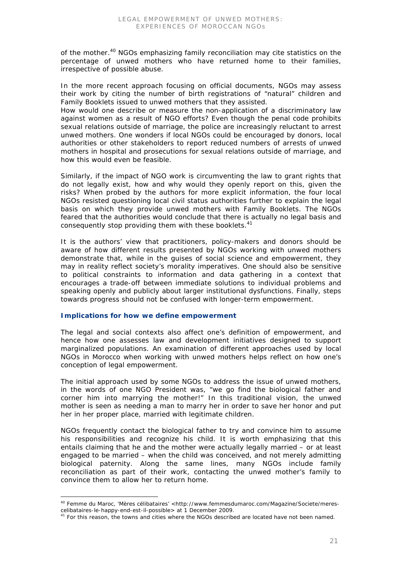of the mother.<sup>40</sup> NGOs emphasizing family reconciliation may cite statistics on the percentage of unwed mothers who have returned home to their families, irrespective of possible abuse.

In the more recent approach focusing on official documents, NGOs may assess their work by citing the number of birth registrations of "natural" children and Family Booklets issued to unwed mothers that they assisted.

How would one describe or measure the non-application of a discriminatory law against women as a result of NGO efforts? Even though the penal code prohibits sexual relations outside of marriage, the police are increasingly reluctant to arrest unwed mothers. One wonders if local NGOs could be encouraged by donors, local authorities or other stakeholders to report reduced numbers of arrests of unwed mothers in hospital and prosecutions for sexual relations outside of marriage, and how this would even be feasible.

Similarly, if the impact of NGO work is circumventing the law to grant rights that do not legally exist, how and why would they openly report on this, given the risks? When probed by the authors for more explicit information, the four local NGOs resisted questioning local civil status authorities further to explain the legal basis on which they provide unwed mothers with Family Booklets. The NGOs feared that the authorities would conclude that there is actually no legal basis and consequently stop providing them with these booklets.<sup>41</sup>

It is the authors' view that practitioners, policy-makers and donors should be aware of how different results presented by NGOs working with unwed mothers demonstrate that, while in the guises of social science and empowerment, they may in reality reflect society's morality imperatives. One should also be sensitive to political constraints to information and data gathering in a context that encourages a trade-off between immediate solutions to individual problems and speaking openly and publicly about larger institutional dysfunctions. Finally, steps towards progress should not be confused with longer-term empowerment.

# **Implications for how we define empowerment**

The legal and social contexts also affect one's definition of empowerment, and hence how one assesses law and development initiatives designed to support marginalized populations. An examination of different approaches used by local NGOs in Morocco when working with unwed mothers helps reflect on how one's conception of legal empowerment.

The initial approach used by some NGOs to address the issue of unwed mothers, in the words of one NGO President was, "we go find the biological father and corner him into marrying the mother!" In this traditional vision, the unwed mother is seen as needing a man to marry her in order to save her honor and put her in her proper place, married with legitimate children.

NGOs frequently contact the biological father to try and convince him to assume his responsibilities and recognize his child. It is worth emphasizing that this entails claiming that he and the mother were actually legally married – or at least engaged to be married – when the child was conceived, and not merely admitting biological paternity. Along the same lines, many NGOs include family reconciliation as part of their work, contacting the unwed mother's family to convince them to allow her to return home.

<sup>&</sup>lt;sup>40</sup> Femme du Maroc, 'Mères célibataires' <http://www.femmesdumaroc.com/Magazine/Societe/merescelibataires-le-happy-end-est-il-possible> at 1 December 2009.

<sup>&</sup>lt;sup>41</sup> For this reason, the towns and cities where the NGOs described are located have not been named.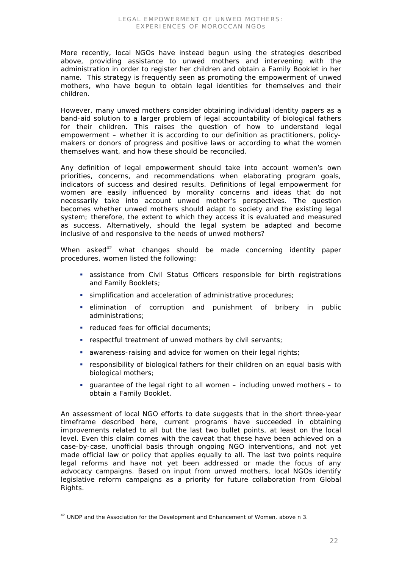More recently, local NGOs have instead begun using the strategies described above, providing assistance to unwed mothers and intervening with the administration in order to register her children and obtain a Family Booklet in her name. This strategy is frequently seen as promoting the empowerment of unwed mothers, who have begun to obtain legal identities for themselves and their children.

However, many unwed mothers consider obtaining individual identity papers as a band-aid solution to a larger problem of legal accountability of biological fathers for their children. This raises the question of how to understand legal empowerment – whether it is according to our definition as practitioners, policymakers or donors of progress and positive laws or according to what the women themselves want, and how these should be reconciled.

Any definition of legal empowerment should take into account women's own priorities, concerns, and recommendations when elaborating program goals, indicators of success and desired results. Definitions of legal empowerment for women are easily influenced by morality concerns and ideas that do not necessarily take into account unwed mother's perspectives. The question becomes whether unwed mothers should adapt to society and the existing legal system; therefore, the extent to which they access it is evaluated and measured as success. Alternatively, should the legal system be adapted and become inclusive of and responsive to the needs of unwed mothers?

When asked $42$  what changes should be made concerning identity paper procedures, women listed the following:

- assistance from Civil Status Officers responsible for birth registrations and Family Booklets;
- simplification and acceleration of administrative procedures;
- elimination of corruption and punishment of bribery in public administrations;
- **•** reduced fees for official documents;
- respectful treatment of unwed mothers by civil servants;
- awareness-raising and advice for women on their legal rights;
- responsibility of biological fathers for their children on an equal basis with biological mothers;
- quarantee of the legal right to all women including unwed mothers to obtain a Family Booklet.

An assessment of local NGO efforts to date suggests that in the short three-year timeframe described here, current programs have succeeded in obtaining improvements related to all but the last two bullet points, at least on the local level. Even this claim comes with the caveat that these have been achieved on a case-by-case, unofficial basis through ongoing NGO interventions, and not yet made official law or policy that applies equally to all. The last two points require legal reforms and have not yet been addressed or made the focus of any advocacy campaigns. Based on input from unwed mothers, local NGOs identify legislative reform campaigns as a priority for future collaboration from Global Rights.

 $42$  UNDP and the Association for the Development and Enhancement of Women, above n 3.